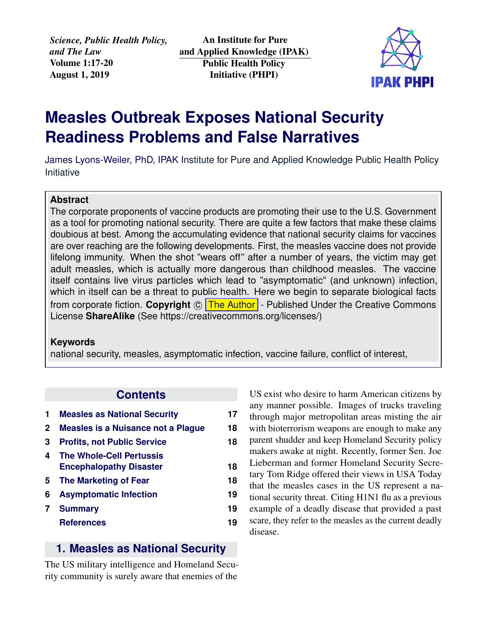*Science, Public Health Policy, and The Law* Volume 1:17-20 August 1, 2019

An Institute for Pure and Applied Knowledge (IPAK) Public Health Policy Initiative (PHPI)



# **Measles Outbreak Exposes National Security Readiness Problems and False Narratives**

James Lyons-Weiler, PhD, IPAK [Institute for Pure and Applied Knowledge Public Health Policy](https://jameslyonsweiler.com/ ) [Initiative](https://jameslyonsweiler.com/ )

#### **Abstract**

The corporate proponents of vaccine products are promoting their use to the U.S. Government as a tool for promoting national security. There are quite a few factors that make these claims doubious at best. Among the accumulating evidence that national security claims for vaccines are over reaching are the following developments. First, the measles vaccine does not provide lifelong immunity. When the shot "wears off" after a number of years, the victim may get adult measles, which is actually more dangerous than childhood measles. The vaccine itself contains live virus particles which lead to "asymptomatic" (and unknown) infection, which in itself can be a threat to public health. Here we begin to separate biological facts from corporate fiction. Copyright © [The Author]( https://ipaknowledge.org ) - Published Under the Creative Commons License **ShareAlike** (See https://creativecommons.org/licenses/)

#### **Keywords**

national security, measles, asymptomatic infection, vaccine failure, conflict of interest,

#### **Contents**

|              | <b>Measles as National Security</b>                               | 17 |
|--------------|-------------------------------------------------------------------|----|
| $\mathbf{2}$ | Measles is a Nuisance not a Plague                                | 18 |
| 3            | <b>Profits, not Public Service</b>                                | 18 |
| 4            | <b>The Whole-Cell Pertussis</b><br><b>Encephalopathy Disaster</b> | 18 |
| 5            | <b>The Marketing of Fear</b>                                      | 18 |
| 6            | <b>Asymptomatic Infection</b>                                     | 19 |
|              | <b>Summary</b>                                                    | 19 |
|              | <b>References</b>                                                 | 19 |

#### <span id="page-0-0"></span>**1. Measles as National Security**

The US military intelligence and Homeland Security community is surely aware that enemies of the

<span id="page-0-1"></span>US exist who desire to harm American citizens by any manner possible. Images of trucks traveling through major metropolitan areas misting the air with bioterrorism weapons are enough to make any parent shudder and keep Homeland Security policy makers awake at night. Recently, former Sen. Joe Lieberman and former Homeland Security Secretary Tom Ridge offered their views in USA Today that the measles cases in the US represent a national security threat. Citing H1N1 flu as a previous example of a deadly disease that provided a past scare, they refer to the measles as the current deadly disease.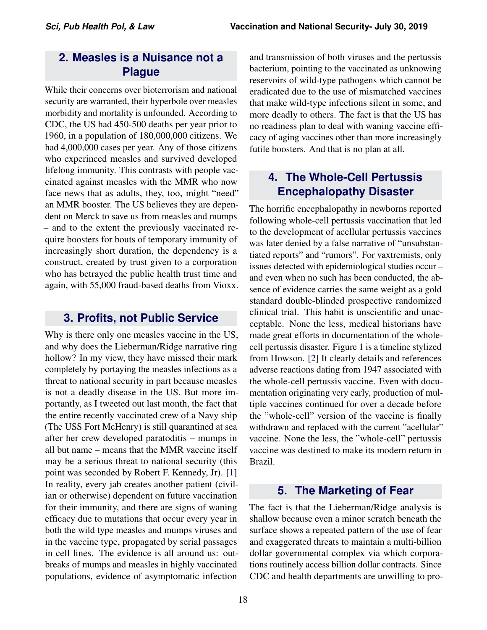# **2. Measles is a Nuisance not a Plague**

While their concerns over bioterrorism and national security are warranted, their hyperbole over measles morbidity and mortality is unfounded. According to CDC, the US had 450-500 deaths per year prior to 1960, in a population of 180,000,000 citizens. We had 4,000,000 cases per year. Any of those citizens who experinced measles and survived developed lifelong immunity. This contrasts with people vaccinated against measles with the MMR who now face news that as adults, they, too, might "need" an MMR booster. The US believes they are dependent on Merck to save us from measles and mumps – and to the extent the previously vaccinated require boosters for bouts of temporary immunity of increasingly short duration, the dependency is a construct, created by trust given to a corporation who has betrayed the public health trust time and again, with 55,000 fraud-based deaths from Vioxx.

## <span id="page-1-0"></span>**3. Profits, not Public Service**

Why is there only one measles vaccine in the US, and why does the Lieberman/Ridge narrative ring hollow? In my view, they have missed their mark completely by portaying the measles infections as a threat to national security in part because measles is not a deadly disease in the US. But more importantly, as I tweeted out last month, the fact that the entire recently vaccinated crew of a Navy ship (The USS Fort McHenry) is still quarantined at sea after her crew developed paratoditis – mumps in all but name – means that the MMR vaccine itself may be a serious threat to national security (this point was seconded by Robert F. Kennedy, Jr). [\[1\]](#page-2-2) In reality, every jab creates another patient (civilian or otherwise) dependent on future vaccination for their immunity, and there are signs of waning efficacy due to mutations that occur every year in both the wild type measles and mumps viruses and in the vaccine type, propagated by serial passages in cell lines. The evidence is all around us: outbreaks of mumps and measles in highly vaccinated populations, evidence of asymptomatic infection

and transmission of both viruses and the pertussis bacterium, pointing to the vaccinated as unknowing reservoirs of wild-type pathogens which cannot be eradicated due to the use of mismatched vaccines that make wild-type infections silent in some, and more deadly to others. The fact is that the US has no readiness plan to deal with waning vaccine efficacy of aging vaccines other than more increasingly futile boosters. And that is no plan at all.

# <span id="page-1-1"></span>**4. The Whole-Cell Pertussis Encephalopathy Disaster**

The horrific encephalopathy in newborns reported following whole-cell pertussis vaccination that led to the development of acellular pertussis vaccines was later denied by a false narrative of "unsubstantiated reports" and "rumors". For vaxtremists, only issues detected with epidemiological studies occur – and even when no such has been conducted, the absence of evidence carries the same weight as a gold standard double-blinded prospective randomized clinical trial. This habit is unscientific and unacceptable. None the less, medical historians have made great efforts in documentation of the wholecell pertussis disaster. Figure 1 is a timeline stylized from Howson. [\[2\]](#page-2-3) It clearly details and references adverse reactions dating from 1947 associated with the whole-cell pertussis vaccine. Even with documentation originating very early, production of multiple vaccines continued for over a decade before the "whole-cell" version of the vaccine is finally withdrawn and replaced with the current "acellular" vaccine. None the less, the "whole-cell" pertussis vaccine was destined to make its modern return in Brazil.

# **5. The Marketing of Fear**

<span id="page-1-2"></span>The fact is that the Lieberman/Ridge analysis is shallow because even a minor scratch beneath the surface shows a repeated pattern of the use of fear and exaggerated threats to maintain a multi-billion dollar governmental complex via which corporations routinely access billion dollar contracts. Since CDC and health departments are unwilling to pro-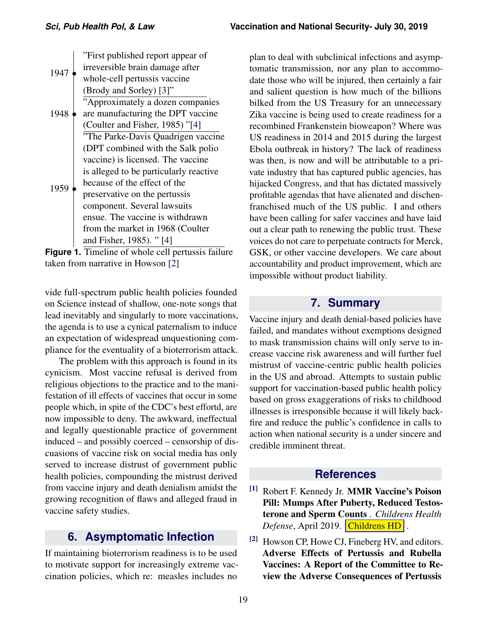|      | "First published report appear of      |
|------|----------------------------------------|
| 1947 | irreversible brain damage after        |
|      | whole-cell pertussis vaccine           |
|      | (Brody and Sorley) [3]"                |
|      | "Approximately a dozen companies       |
| 1948 | are manufacturing the DPT vaccine      |
|      | (Coulter and Fisher, 1985) "[4]        |
|      | "The Parke-Davis Quadrigen vaccine"    |
|      | (DPT combined with the Salk polio      |
|      | vaccine) is licensed. The vaccine      |
|      | is alleged to be particularly reactive |
|      | because of the effect of the           |
| 1959 | preservative on the pertussis          |
|      | component. Several lawsuits            |
|      | ensue. The vaccine is withdrawn        |
|      | from the market in 1968 (Coulter       |
|      | and Fisher, 1985). "[4]                |
|      |                                        |

**Figure 1.** Timeline of whole cell pertussis failure taken from narrative in Howson [\[2\]](#page-2-3)

vide full-spectrum public health policies founded on Science instead of shallow, one-note songs that lead inevitably and singularly to more vaccinations, the agenda is to use a cynical paternalism to induce an expectation of widespread unquestioning compliance for the eventuality of a bioterrorism attack.

The problem with this approach is found in its cynicism. Most vaccine refusal is derived from religious objections to the practice and to the manifestation of ill effects of vaccines that occur in some people which, in spite of the CDC's best effortd, are now impossible to deny. The awkward, ineffectual and legally questionable practice of government induced – and possibly coerced – censorship of discuasions of vaccine risk on social media has only served to increase distrust of government public health policies, compounding the mistrust derived from vaccine injury and death denialism amidst the growing recognition of flaws and alleged fraud in vaccine safety studies.

# **6. Asymptomatic Infection**

<span id="page-2-0"></span>If maintaining bioterrorism readiness is to be used to motivate support for increasingly extreme vaccination policies, which re: measles includes no

plan to deal with subclinical infections and asymptomatic transmission, nor any plan to accommodate those who will be injured, then certainly a fair and salient question is how much of the billions bilked from the US Treasury for an unnecessary Zika vaccine is being used to create readiness for a recombined Frankenstein bioweapon? Where was US readiness in 2014 and 2015 during the largest Ebola outbreak in history? The lack of readiness was then, is now and will be attributable to a private industry that has captured public agencies, has hijacked Congress, and that has dictated massively profitable agendas that have alienated and dischenfranchised much of the US public. I and others have been calling for safer vaccines and have laid out a clear path to renewing the public trust. These voices do not care to perpetuate contracts for Merck, GSK, or other vaccine developers. We care about accountability and product improvement, which are impossible without product liability.

## **7. Summary**

<span id="page-2-1"></span>Vaccine injury and death denial-based policies have failed, and mandates without exemptions designed to mask transmission chains will only serve to increase vaccine risk awareness and will further fuel mistrust of vaccine-centric public health policies in the US and abroad. Attempts to sustain public support for vaccination-based public health policy based on gross exaggerations of risks to childhood illnesses is irresponsible because it will likely backfire and reduce the public's confidence in calls to action when national security is a under sincere and credible imminent threat.

## **References**

- <span id="page-2-2"></span>[1] Robert F. Kennedy Jr. MMR Vaccine's Poison Pill: Mumps After Puberty, Reduced Testosterone and Sperm Counts . *Childrens Health Defense*, April 2019. **[Childrens HD]( https://childrenshealthdefense.org/news/vaccines/mmr-vaccines-poison-pill-mumps-after-puberty-reduced-testosterone-and-sperm-counts/ )**.
- <span id="page-2-3"></span>[2] Howson CP, Howe CJ, Fineberg HV, and editors. Adverse Effects of Pertussis and Rubella Vaccines: A Report of the Committee to Review the Adverse Consequences of Pertussis